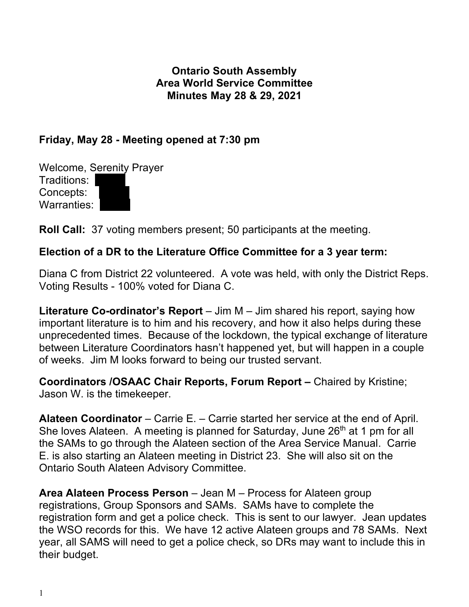### **Ontario South Assembly Area World Service Committee Minutes May 28 & 29, 2021**

## **Friday, May 28 - Meeting opened at 7:30 pm**

Welcome, Serenity Prayer Traditions: I Concepts: Warranties:

**Roll Call:** 37 voting members present; 50 participants at the meeting.

### **Election of a DR to the Literature Office Committee for a 3 year term:**

Diana C from District 22 volunteered. A vote was held, with only the District Reps. Voting Results - 100% voted for Diana C.

**Literature Co-ordinator's Report** – Jim M – Jim shared his report, saying how important literature is to him and his recovery, and how it also helps during these unprecedented times. Because of the lockdown, the typical exchange of literature between Literature Coordinators hasn't happened yet, but will happen in a couple of weeks. Jim M looks forward to being our trusted servant.

**Coordinators /OSAAC Chair Reports, Forum Report –** Chaired by Kristine; Jason W. is the timekeeper.

**Alateen Coordinator** – Carrie E. – Carrie started her service at the end of April. She loves Alateen. A meeting is planned for Saturday, June  $26<sup>th</sup>$  at 1 pm for all the SAMs to go through the Alateen section of the Area Service Manual. Carrie E. is also starting an Alateen meeting in District 23. She will also sit on the Ontario South Alateen Advisory Committee.

**Area Alateen Process Person** – Jean M – Process for Alateen group registrations, Group Sponsors and SAMs. SAMs have to complete the registration form and get a police check. This is sent to our lawyer. Jean updates the WSO records for this. We have 12 active Alateen groups and 78 SAMs. Next year, all SAMS will need to get a police check, so DRs may want to include this in their budget.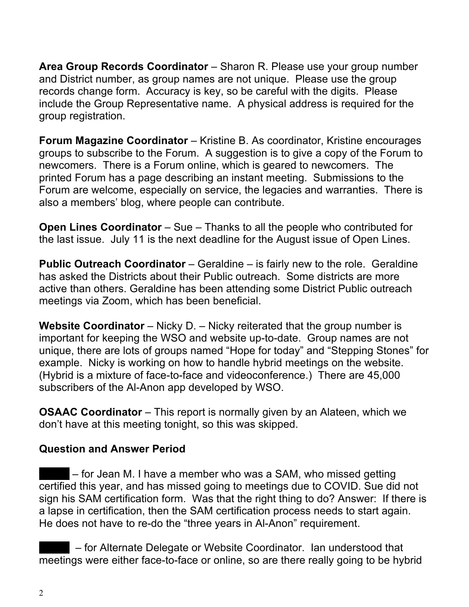**Area Group Records Coordinator** – Sharon R. Please use your group number and District number, as group names are not unique. Please use the group records change form. Accuracy is key, so be careful with the digits. Please include the Group Representative name. A physical address is required for the group registration.

**Forum Magazine Coordinator** – Kristine B. As coordinator, Kristine encourages groups to subscribe to the Forum. A suggestion is to give a copy of the Forum to newcomers. There is a Forum online, which is geared to newcomers. The printed Forum has a page describing an instant meeting. Submissions to the Forum are welcome, especially on service, the legacies and warranties. There is also a members' blog, where people can contribute.

**Open Lines Coordinator** – Sue – Thanks to all the people who contributed for the last issue. July 11 is the next deadline for the August issue of Open Lines.

**Public Outreach Coordinator** – Geraldine – is fairly new to the role. Geraldine has asked the Districts about their Public outreach. Some districts are more active than others. Geraldine has been attending some District Public outreach meetings via Zoom, which has been beneficial.

**Website Coordinator** – Nicky D. – Nicky reiterated that the group number is important for keeping the WSO and website up-to-date. Group names are not unique, there are lots of groups named "Hope for today" and "Stepping Stones" for example. Nicky is working on how to handle hybrid meetings on the website. (Hybrid is a mixture of face-to-face and videoconference.) There are 45,000 subscribers of the Al-Anon app developed by WSO.

**OSAAC Coordinator** – This report is normally given by an Alateen, which we don't have at this meeting tonight, so this was skipped.

### **Question and Answer Period**

 $f$  – for Jean M. I have a member who was a SAM, who missed getting certified this year, and has missed going to meetings due to COVID. Sue did not sign his SAM certification form. Was that the right thing to do? Answer: If there is a lapse in certification, then the SAM certification process needs to start again. He does not have to re-do the "three years in Al-Anon" requirement.

– for Alternate Delegate or Website Coordinator. Ian understood that meetings were either face-to-face or online, so are there really going to be hybrid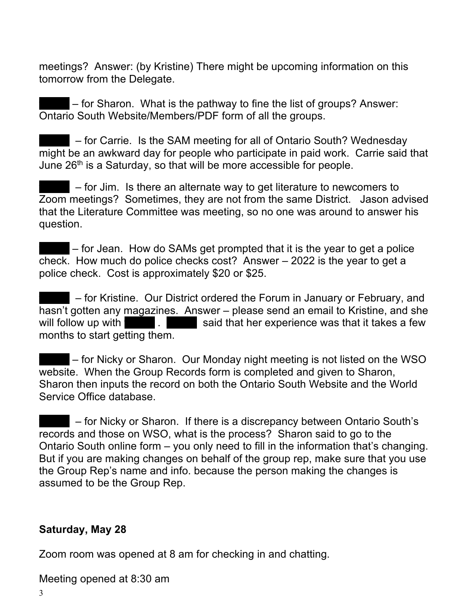meetings? Answer: (by Kristine) There might be upcoming information on this tomorrow from the Delegate.

 $f$  – for Sharon. What is the pathway to fine the list of groups? Answer: Ontario South Website/Members/PDF form of all the groups.

 $-$  for Carrie. Is the SAM meeting for all of Ontario South? Wednesday might be an awkward day for people who participate in paid work. Carrie said that June 26<sup>th</sup> is a Saturday, so that will be more accessible for people.

 $\mathsf{I}$  – for Jim. Is there an alternate way to get literature to newcomers to Zoom meetings? Sometimes, they are not from the same District. Jason advised that the Literature Committee was meeting, so no one was around to answer his question.

 $\blacksquare$  – for Jean. How do SAMs get prompted that it is the year to get a police check. How much do police checks cost? Answer – 2022 is the year to get a police check. Cost is approximately \$20 or \$25.

 $\mathsf{I}$  – for Kristine. Our District ordered the Forum in January or February, and hasn't gotten any magazines. Answer – please send an email to Kristine, and she will follow up with **fight** . Figure said that her experience was that it takes a few months to start getting them.

 $\mathsf{I}$  – for Nicky or Sharon. Our Monday night meeting is not listed on the WSO website. When the Group Records form is completed and given to Sharon, Sharon then inputs the record on both the Ontario South Website and the World Service Office database.

 $\mathsf{I}$  – for Nicky or Sharon. If there is a discrepancy between Ontario South's records and those on WSO, what is the process? Sharon said to go to the Ontario South online form – you only need to fill in the information that's changing. But if you are making changes on behalf of the group rep, make sure that you use the Group Rep's name and info. because the person making the changes is assumed to be the Group Rep.

#### **Saturday, May 28**

Zoom room was opened at 8 am for checking in and chatting.

Meeting opened at 8:30 am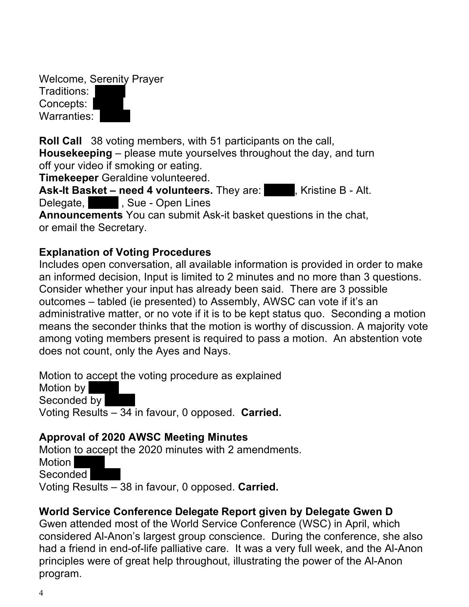Welcome, Serenity Prayer Traditions: Concepts: I Warranties: I

**Roll Call** 38 voting members, with 51 participants on the call, **Housekeeping** – please mute yourselves throughout the day, and turn off your video if smoking or eating.

**Timekeeper** Geraldine volunteered.

**Ask-It Basket – need 4 volunteers.** They are: **fig. Kristine B - Alt.** Delegate, **final delayers**, Sue - Open Lines

**Announcements** You can submit Ask-it basket questions in the chat, or email the Secretary.

# **Explanation of Voting Procedures**

Includes open conversation, all available information is provided in order to make an informed decision, Input is limited to 2 minutes and no more than 3 questions. Consider whether your input has already been said. There are 3 possible outcomes – tabled (ie presented) to Assembly, AWSC can vote if it's an administrative matter, or no vote if it is to be kept status quo. Seconding a motion means the seconder thinks that the motion is worthy of discussion. A majority vote among voting members present is required to pass a motion. An abstention vote does not count, only the Ayes and Nays.

Motion to accept the voting procedure as explained Motion by Seconded by Voting Results – 34 in favour, 0 opposed. **Carried.**

# **Approval of 2020 AWSC Meeting Minutes**

Motion to accept the 2020 minutes with 2 amendments. Motion I Seconded |

Voting Results – 38 in favour, 0 opposed. **Carried.**

# **World Service Conference Delegate Report given by Delegate Gwen D**

Gwen attended most of the World Service Conference (WSC) in April, which considered Al-Anon's largest group conscience. During the conference, she also had a friend in end-of-life palliative care. It was a very full week, and the Al-Anon principles were of great help throughout, illustrating the power of the Al-Anon program.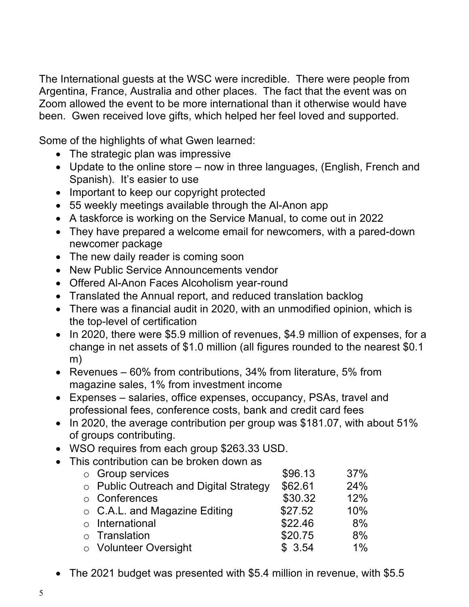The International guests at the WSC were incredible. There were people from Argentina, France, Australia and other places. The fact that the event was on Zoom allowed the event to be more international than it otherwise would have been. Gwen received love gifts, which helped her feel loved and supported.

Some of the highlights of what Gwen learned:

- The strategic plan was impressive
- Update to the online store now in three languages, (English, French and Spanish). It's easier to use
- Important to keep our copyright protected
- 55 weekly meetings available through the Al-Anon app
- A taskforce is working on the Service Manual, to come out in 2022
- They have prepared a welcome email for newcomers, with a pared-down newcomer package
- The new daily reader is coming soon
- New Public Service Announcements vendor
- Offered Al-Anon Faces Alcoholism year-round
- Translated the Annual report, and reduced translation backlog
- There was a financial audit in 2020, with an unmodified opinion, which is the top-level of certification
- In 2020, there were \$5.9 million of revenues, \$4.9 million of expenses, for a change in net assets of \$1.0 million (all figures rounded to the nearest \$0.1 m)
- Revenues 60% from contributions, 34% from literature, 5% from magazine sales, 1% from investment income
- Expenses salaries, office expenses, occupancy, PSAs, travel and professional fees, conference costs, bank and credit card fees
- In 2020, the average contribution per group was \$181.07, with about 51% of groups contributing.
- WSO requires from each group \$263.33 USD.
- This contribution can be broken down as

| ○ Group services                       | \$96.13 | 37%   |
|----------------------------------------|---------|-------|
| o Public Outreach and Digital Strategy | \$62.61 | 24%   |
| ○ Conferences                          | \$30.32 | 12%   |
| $\circ$ C.A.L. and Magazine Editing    | \$27.52 | 10%   |
| $\circ$ International                  | \$22.46 | 8%    |
| $\circ$ Translation                    | \$20.75 | 8%    |
| o Volunteer Oversight                  | \$3.54  | $1\%$ |
|                                        |         |       |

• The 2021 budget was presented with \$5.4 million in revenue, with \$5.5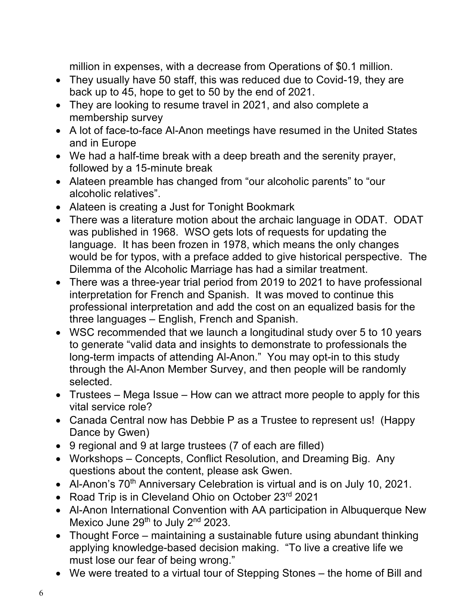million in expenses, with a decrease from Operations of \$0.1 million.

- They usually have 50 staff, this was reduced due to Covid-19, they are back up to 45, hope to get to 50 by the end of 2021.
- They are looking to resume travel in 2021, and also complete a membership survey
- A lot of face-to-face Al-Anon meetings have resumed in the United States and in Europe
- We had a half-time break with a deep breath and the serenity prayer, followed by a 15-minute break
- Alateen preamble has changed from "our alcoholic parents" to "our alcoholic relatives".
- Alateen is creating a Just for Tonight Bookmark
- There was a literature motion about the archaic language in ODAT. ODAT was published in 1968. WSO gets lots of requests for updating the language. It has been frozen in 1978, which means the only changes would be for typos, with a preface added to give historical perspective. The Dilemma of the Alcoholic Marriage has had a similar treatment.
- There was a three-year trial period from 2019 to 2021 to have professional interpretation for French and Spanish. It was moved to continue this professional interpretation and add the cost on an equalized basis for the three languages – English, French and Spanish.
- WSC recommended that we launch a longitudinal study over 5 to 10 years to generate "valid data and insights to demonstrate to professionals the long-term impacts of attending Al-Anon." You may opt-in to this study through the Al-Anon Member Survey, and then people will be randomly selected.
- Trustees Mega Issue How can we attract more people to apply for this vital service role?
- Canada Central now has Debbie P as a Trustee to represent us! (Happy Dance by Gwen)
- 9 regional and 9 at large trustees (7 of each are filled)
- Workshops Concepts, Conflict Resolution, and Dreaming Big. Any questions about the content, please ask Gwen.
- Al-Anon's 70<sup>th</sup> Anniversary Celebration is virtual and is on July 10, 2021.
- Road Trip is in Cleveland Ohio on October 23rd 2021
- Al-Anon International Convention with AA participation in Albuquerque New Mexico June 29<sup>th</sup> to July 2<sup>nd</sup> 2023.
- Thought Force maintaining a sustainable future using abundant thinking applying knowledge-based decision making. "To live a creative life we must lose our fear of being wrong."
- We were treated to a virtual tour of Stepping Stones the home of Bill and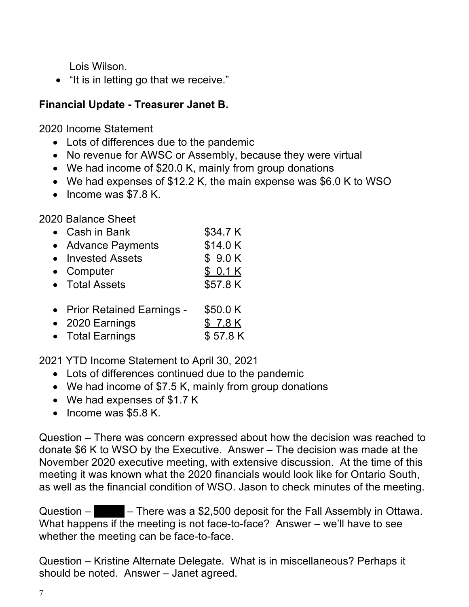Lois Wilson.

• "It is in letting go that we receive."

# **Financial Update - Treasurer Janet B.**

2020 Income Statement

- Lots of differences due to the pandemic
- No revenue for AWSC or Assembly, because they were virtual
- We had income of \$20.0 K, mainly from group donations
- We had expenses of \$12.2 K, the main expense was \$6.0 K to WSO
- Income was \$7.8 K.

2020 Balance Sheet

| $\bullet$ Cash in Bank | \$34.7 K      |
|------------------------|---------------|
| Advise a a Davis and a | <b>CAACIZ</b> |

- Advance Payments **\$14.0 K**
- Invested Assets \$ 9.0 K
- Computer \$ 0.1 K
- Total Assets **\$57.8 K**
- Prior Retained Earnings \$50.0 K
- 2020 Earnings \$ 7.8 K
- Total Earnings \$57.8 K

2021 YTD Income Statement to April 30, 2021

- Lots of differences continued due to the pandemic
- We had income of \$7.5 K, mainly from group donations
- We had expenses of \$1.7 K
- Income was \$5.8 K.

Question – There was concern expressed about how the decision was reached to donate \$6 K to WSO by the Executive. Answer – The decision was made at the November 2020 executive meeting, with extensive discussion. At the time of this meeting it was known what the 2020 financials would look like for Ontario South, as well as the financial condition of WSO. Jason to check minutes of the meeting.

Question –  $\blacksquare$  – There was a \$2,500 deposit for the Fall Assembly in Ottawa. What happens if the meeting is not face-to-face? Answer – we'll have to see whether the meeting can be face-to-face.

Question – Kristine Alternate Delegate. What is in miscellaneous? Perhaps it should be noted. Answer – Janet agreed.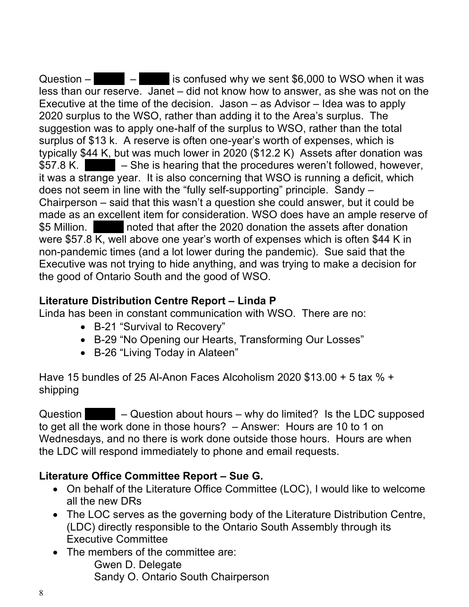Question –  $\blacksquare$  =  $\blacksquare$  is confused why we sent \$6,000 to WSO when it was less than our reserve. Janet – did not know how to answer, as she was not on the Executive at the time of the decision. Jason – as Advisor – Idea was to apply 2020 surplus to the WSO, rather than adding it to the Area's surplus. The suggestion was to apply one-half of the surplus to WSO, rather than the total surplus of \$13 k. A reserve is often one-year's worth of expenses, which is typically \$44 K, but was much lower in 2020 (\$12.2 K) Assets after donation was \$57.8 K.  $\blacksquare$  – She is hearing that the procedures weren't followed, however, it was a strange year. It is also concerning that WSO is running a deficit, which does not seem in line with the "fully self-supporting" principle. Sandy – Chairperson – said that this wasn't a question she could answer, but it could be made as an excellent item for consideration. WSO does have an ample reserve of \$5 Million. **Figha is a noted that after the 2020 donation the assets after donation** were \$57.8 K, well above one year's worth of expenses which is often \$44 K in non-pandemic times (and a lot lower during the pandemic). Sue said that the Executive was not trying to hide anything, and was trying to make a decision for the good of Ontario South and the good of WSO.

# **Literature Distribution Centre Report – Linda P**

Linda has been in constant communication with WSO. There are no:

- B-21 "Survival to Recovery"
- B-29 "No Opening our Hearts, Transforming Our Losses"
- B-26 "Living Today in Alateen"

Have 15 bundles of 25 Al-Anon Faces Alcoholism 2020 \$13.00 + 5 tax % + shipping

Question  $\blacksquare$  – Question about hours – why do limited? Is the LDC supposed to get all the work done in those hours? – Answer: Hours are 10 to 1 on Wednesdays, and no there is work done outside those hours. Hours are when the LDC will respond immediately to phone and email requests.

# **Literature Office Committee Report – Sue G.**

- On behalf of the Literature Office Committee (LOC), I would like to welcome all the new DRs
- The LOC serves as the governing body of the Literature Distribution Centre, (LDC) directly responsible to the Ontario South Assembly through its Executive Committee
- The members of the committee are: Gwen D. Delegate Sandy O. Ontario South Chairperson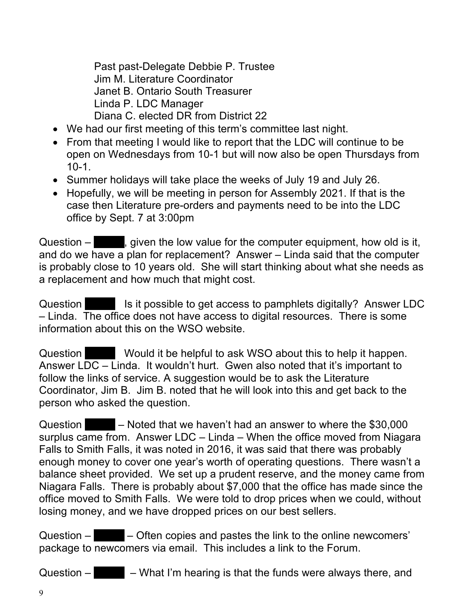Past past-Delegate Debbie P. Trustee Jim M. Literature Coordinator Janet B. Ontario South Treasurer Linda P. LDC Manager Diana C. elected DR from District 22

- We had our first meeting of this term's committee last night.
- From that meeting I would like to report that the LDC will continue to be open on Wednesdays from 10-1 but will now also be open Thursdays from  $10-1.$
- Summer holidays will take place the weeks of July 19 and July 26.
- Hopefully, we will be meeting in person for Assembly 2021. If that is the case then Literature pre-orders and payments need to be into the LDC office by Sept. 7 at 3:00pm

Question  $-\mathbf{k}$ , given the low value for the computer equipment, how old is it, and do we have a plan for replacement? Answer – Linda said that the computer is probably close to 10 years old. She will start thinking about what she needs as a replacement and how much that might cost.

Question **Figure 1st is it possible to get access to pamphlets digitally?** Answer LDC – Linda. The office does not have access to digital resources. There is some information about this on the WSO website.

Question Would it be helpful to ask WSO about this to help it happen. Answer LDC – Linda. It wouldn't hurt. Gwen also noted that it's important to follow the links of service. A suggestion would be to ask the Literature Coordinator, Jim B. Jim B. noted that he will look into this and get back to the person who asked the question.

Question  $\blacksquare$  – Noted that we haven't had an answer to where the \$30,000 surplus came from. Answer LDC – Linda – When the office moved from Niagara Falls to Smith Falls, it was noted in 2016, it was said that there was probably enough money to cover one year's worth of operating questions. There wasn't a balance sheet provided. We set up a prudent reserve, and the money came from Niagara Falls. There is probably about \$7,000 that the office has made since the office moved to Smith Falls. We were told to drop prices when we could, without losing money, and we have dropped prices on our best sellers.

Question –  $\blacksquare$  – Often copies and pastes the link to the online newcomers' package to newcomers via email. This includes a link to the Forum.

Question –  $\blacksquare$  – What I'm hearing is that the funds were always there, and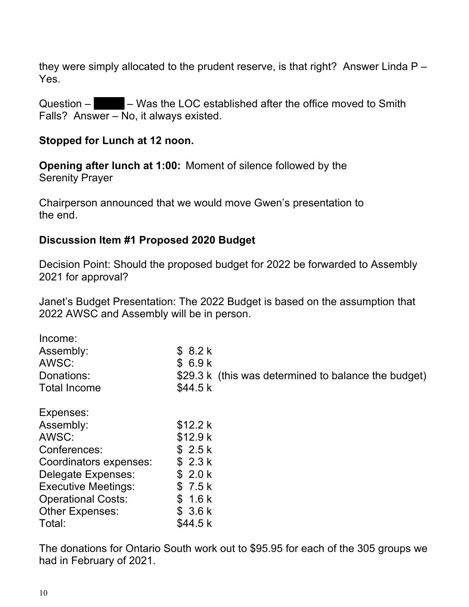they were simply allocated to the prudent reserve, is that right? Answer Linda  $P -$ Yes.

Question –  $\blacksquare$  – Was the LOC established after the office moved to Smith Falls? Answer – No, it always existed.

#### **Stopped for Lunch at 12 noon.**

**Opening after lunch at 1:00:** Moment of silence followed by the Serenity Prayer

Chairperson announced that we would move Gwen's presentation to the end.

### **Discussion Item #1 Proposed 2020 Budget**

Decision Point: Should the proposed budget for 2022 be forwarded to Assembly 2021 for approval?

Janet's Budget Presentation: The 2022 Budget is based on the assumption that 2022 AWSC and Assembly will be in person.

| Income:                    |                                                      |
|----------------------------|------------------------------------------------------|
| Assembly:                  | \$8.2k                                               |
| AWSC:                      | \$6.9k                                               |
| Donations:                 | \$29.3 k (this was determined to balance the budget) |
| <b>Total Income</b>        | \$44.5 k                                             |
| Expenses:                  |                                                      |
| Assembly:                  | \$12.2 k                                             |
| AWSC:                      | \$12.9 k                                             |
| Conferences:               | \$2.5k                                               |
| Coordinators expenses:     | \$2.3k                                               |
| Delegate Expenses:         | \$2.0k                                               |
| <b>Executive Meetings:</b> | \$7.5k                                               |
| <b>Operational Costs:</b>  | \$1.6k                                               |
| <b>Other Expenses:</b>     | \$3.6k                                               |
| Total:                     | \$44.5 k                                             |
|                            |                                                      |

The donations for Ontario South work out to \$95.95 for each of the 305 groups we had in February of 2021.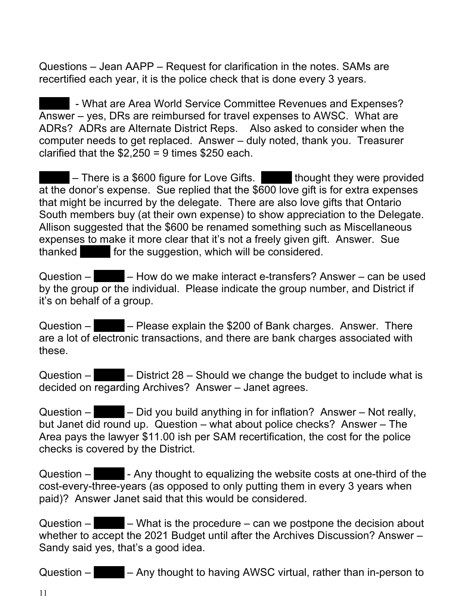Questions – Jean AAPP – Request for clarification in the notes. SAMs are recertified each year, it is the police check that is done every 3 years.

- What are Area World Service Committee Revenues and Expenses? Answer – yes, DRs are reimbursed for travel expenses to AWSC. What are ADRs? ADRs are Alternate District Reps. Also asked to consider when the computer needs to get replaced. Answer – duly noted, thank you. Treasurer clarified that the  $$2,250 = 9$  times  $$250$  each.

 $f$  – There is a \$600 figure for Love Gifts.  $f$  thought they were provided at the donor's expense. Sue replied that the \$600 love gift is for extra expenses that might be incurred by the delegate. There are also love gifts that Ontario South members buy (at their own expense) to show appreciation to the Delegate. Allison suggested that the \$600 be renamed something such as Miscellaneous expenses to make it more clear that it's not a freely given gift. Answer. Sue thanked for the suggestion, which will be considered.

Question –  $\blacksquare$  – How do we make interact e-transfers? Answer – can be used by the group or the individual. Please indicate the group number, and District if it's on behalf of a group.

Question –  $\blacksquare$  – Please explain the \$200 of Bank charges. Answer. There are a lot of electronic transactions, and there are bank charges associated with these.

Question –  $\blacksquare$  – District 28 – Should we change the budget to include what is decided on regarding Archives? Answer – Janet agrees.

Question –  $\blacksquare$  – Did you build anything in for inflation? Answer – Not really, but Janet did round up. Question – what about police checks? Answer – The Area pays the lawyer \$11.00 ish per SAM recertification, the cost for the police checks is covered by the District.

Question  $-\mathbf{r}$  - Any thought to equalizing the website costs at one-third of the cost-every-three-years (as opposed to only putting them in every 3 years when paid)? Answer Janet said that this would be considered.

Question –  $\blacksquare$  – What is the procedure – can we postpone the decision about whether to accept the 2021 Budget until after the Archives Discussion? Answer – Sandy said yes, that's a good idea.

Question –  $\blacksquare$  – Any thought to having AWSC virtual, rather than in-person to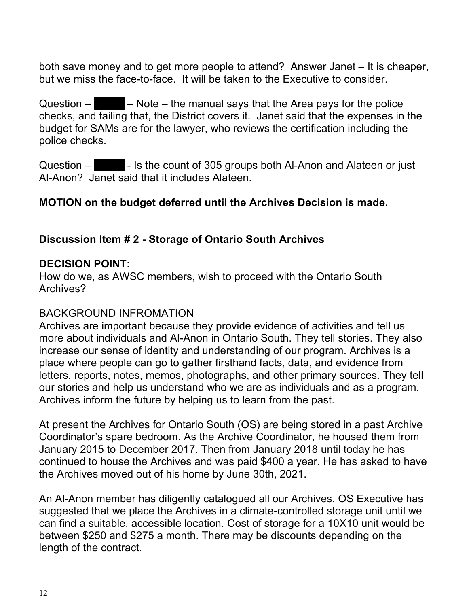both save money and to get more people to attend? Answer Janet – It is cheaper, but we miss the face-to-face. It will be taken to the Executive to consider.

Question –  $\blacksquare$  – Note – the manual says that the Area pays for the police checks, and failing that, the District covers it. Janet said that the expenses in the budget for SAMs are for the lawyer, who reviews the certification including the police checks.

Question – **Fig. 31. It says a Fig. 2018** - Is the count of 305 groups both Al-Anon and Alateen or just Al-Anon? Janet said that it includes Alateen.

### **MOTION on the budget deferred until the Archives Decision is made.**

### **Discussion Item # 2 - Storage of Ontario South Archives**

#### **DECISION POINT:**

How do we, as AWSC members, wish to proceed with the Ontario South Archives?

### BACKGROUND INFROMATION

Archives are important because they provide evidence of activities and tell us more about individuals and Al-Anon in Ontario South. They tell stories. They also increase our sense of identity and understanding of our program. Archives is a place where people can go to gather firsthand facts, data, and evidence from letters, reports, notes, memos, photographs, and other primary sources. They tell our stories and help us understand who we are as individuals and as a program. Archives inform the future by helping us to learn from the past.

At present the Archives for Ontario South (OS) are being stored in a past Archive Coordinator's spare bedroom. As the Archive Coordinator, he housed them from January 2015 to December 2017. Then from January 2018 until today he has continued to house the Archives and was paid \$400 a year. He has asked to have the Archives moved out of his home by June 30th, 2021.

An Al-Anon member has diligently catalogued all our Archives. OS Executive has suggested that we place the Archives in a climate-controlled storage unit until we can find a suitable, accessible location. Cost of storage for a 10X10 unit would be between \$250 and \$275 a month. There may be discounts depending on the length of the contract.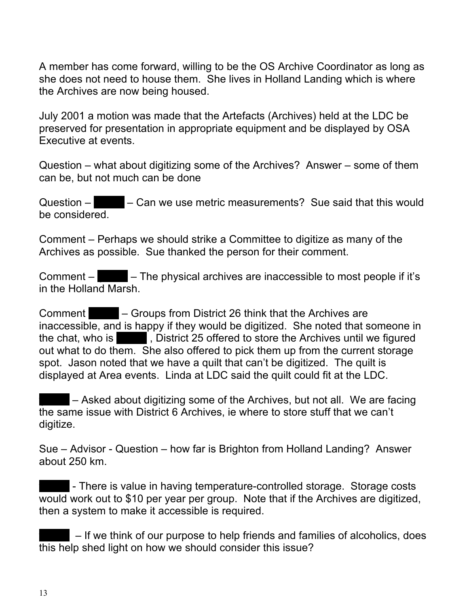A member has come forward, willing to be the OS Archive Coordinator as long as she does not need to house them. She lives in Holland Landing which is where the Archives are now being housed.

July 2001 a motion was made that the Artefacts (Archives) held at the LDC be preserved for presentation in appropriate equipment and be displayed by OSA Executive at events.

Question – what about digitizing some of the Archives? Answer – some of them can be, but not much can be done

Question –  $\blacksquare$  – Can we use metric measurements? Sue said that this would be considered.

Comment – Perhaps we should strike a Committee to digitize as many of the Archives as possible. Sue thanked the person for their comment.

Comment  $-$  The physical archives are inaccessible to most people if it's in the Holland Marsh.

Comment  $\blacksquare$  – Groups from District 26 think that the Archives are inaccessible, and is happy if they would be digitized. She noted that someone in the chat, who is  $\begin{bmatrix} 1 & 1 \\ 1 & 1 \end{bmatrix}$ , District 25 offered to store the Archives until we figured out what to do them. She also offered to pick them up from the current storage spot. Jason noted that we have a quilt that can't be digitized. The quilt is displayed at Area events. Linda at LDC said the quilt could fit at the LDC.

 $\blacksquare$  – Asked about digitizing some of the Archives, but not all. We are facing the same issue with District 6 Archives, ie where to store stuff that we can't digitize.

Sue – Advisor - Question – how far is Brighton from Holland Landing? Answer about 250 km.

- There is value in having temperature-controlled storage. Storage costs would work out to \$10 per year per group. Note that if the Archives are digitized, then a system to make it accessible is required.

 $-$  If we think of our purpose to help friends and families of alcoholics, does this help shed light on how we should consider this issue?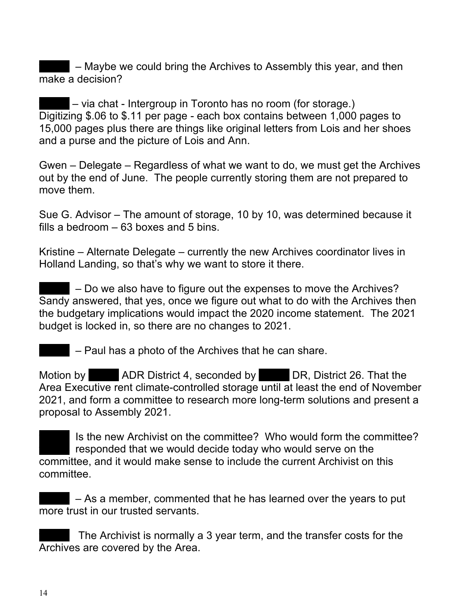– Maybe we could bring the Archives to Assembly this year, and then make a decision?

 $\mathsf{I}$  – via chat - Intergroup in Toronto has no room (for storage.) Digitizing \$.06 to \$.11 per page - each box contains between 1,000 pages to 15,000 pages plus there are things like original letters from Lois and her shoes and a purse and the picture of Lois and Ann.

Gwen – Delegate – Regardless of what we want to do, we must get the Archives out by the end of June. The people currently storing them are not prepared to move them.

Sue G. Advisor – The amount of storage, 10 by 10, was determined because it fills a bedroom – 63 boxes and 5 bins.

Kristine – Alternate Delegate – currently the new Archives coordinator lives in Holland Landing, so that's why we want to store it there.

 $\mathsf{I}$  – Do we also have to figure out the expenses to move the Archives? Sandy answered, that yes, once we figure out what to do with the Archives then the budgetary implications would impact the 2020 income statement. The 2021 budget is locked in, so there are no changes to 2021.

 $\blacksquare$  – Paul has a photo of the Archives that he can share.

Motion by  $f(x) = f(x)$  ADR District 4, seconded by  $f(x) = f(x)$  DR, District 26. That the Area Executive rent climate-controlled storage until at least the end of November 2021, and form a committee to research more long-term solutions and present a proposal to Assembly 2021.

Is the new Archivist on the committee? Who would form the committee? responded that we would decide today who would serve on the committee, and it would make sense to include the current Archivist on this committee.

 $\blacktriangleright$  – As a member, commented that he has learned over the years to put more trust in our trusted servants.

The Archivist is normally a 3 year term, and the transfer costs for the Archives are covered by the Area.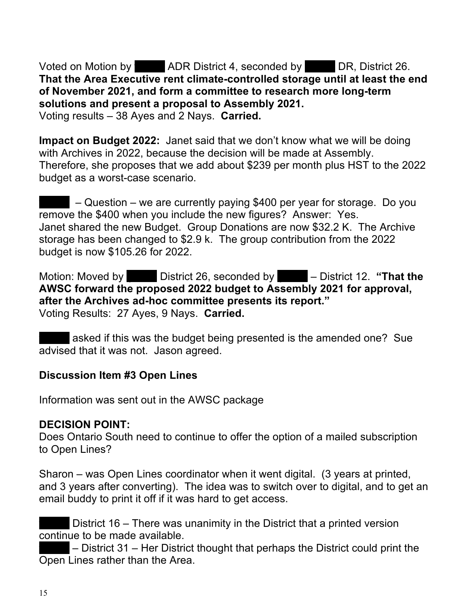Voted on Motion by **Fighter ADR District 4, seconded by Fighter DR, District 26. That the Area Executive rent climate-controlled storage until at least the end of November 2021, and form a committee to research more long-term solutions and present a proposal to Assembly 2021.**  Voting results – 38 Ayes and 2 Nays. **Carried.**

**Impact on Budget 2022:** Janet said that we don't know what we will be doing with Archives in 2022, because the decision will be made at Assembly. Therefore, she proposes that we add about \$239 per month plus HST to the 2022 budget as a worst-case scenario.

 $\blacksquare$  – Question – we are currently paying \$400 per year for storage. Do you remove the \$400 when you include the new figures? Answer: Yes. Janet shared the new Budget. Group Donations are now \$32.2 K. The Archive storage has been changed to \$2.9 k. The group contribution from the 2022 budget is now \$105.26 for 2022.

Motion: Moved by **Fig. 26**, seconded by **Fig. 20.** *Action* – District 12. **"That the AWSC forward the proposed 2022 budget to Assembly 2021 for approval, after the Archives ad-hoc committee presents its report."** Voting Results: 27 Ayes, 9 Nays. **Carried.**

asked if this was the budget being presented is the amended one? Sue advised that it was not. Jason agreed.

### **Discussion Item #3 Open Lines**

Information was sent out in the AWSC package

### **DECISION POINT:**

Does Ontario South need to continue to offer the option of a mailed subscription to Open Lines?

Sharon – was Open Lines coordinator when it went digital. (3 years at printed, and 3 years after converting). The idea was to switch over to digital, and to get an email buddy to print it off if it was hard to get access.

**District 16 – There was unanimity in the District that a printed version** continue to be made available.

 $\vert$  – District 31 – Her District thought that perhaps the District could print the Open Lines rather than the Area.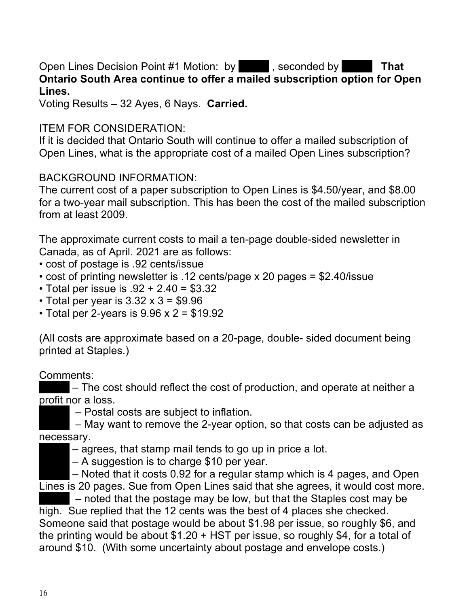Open Lines Decision Point #1 Motion: by fig. seconded by **Finat** 

**Ontario South Area continue to offer a mailed subscription option for Open Lines.** 

Voting Results – 32 Ayes, 6 Nays. **Carried.**

## ITEM FOR CONSIDERATION:

If it is decided that Ontario South will continue to offer a mailed subscription of Open Lines, what is the appropriate cost of a mailed Open Lines subscription?

# BACKGROUND INFORMATION:

The current cost of a paper subscription to Open Lines is \$4.50/year, and \$8.00 for a two-year mail subscription. This has been the cost of the mailed subscription from at least 2009.

The approximate current costs to mail a ten-page double-sided newsletter in Canada, as of April. 2021 are as follows:

- cost of postage is .92 cents/issue
- cost of printing newsletter is .12 cents/page x 20 pages = \$2.40/issue
- Total per issue is  $.92 + 2.40 = $3.32$
- Total per year is  $3.32 \times 3 = $9.96$
- Total per 2-years is  $9.96 \times 2 = $19.92$

(All costs are approximate based on a 20-page, double- sided document being printed at Staples.)

## Comments:

 $\blacksquare$  – The cost should reflect the cost of production, and operate at neither a profit nor a loss.

 $\vert$  – Postal costs are subject to inflation.

 $-$  May want to remove the 2-year option, so that costs can be adjusted as necessary.

 $-$  agrees, that stamp mail tends to go up in price a lot.

 $-$  A suggestion is to charge \$10 per year.

 $\sim$  Noted that it costs 0.92 for a regular stamp which is 4 pages, and Open Lines is 20 pages. Sue from Open Lines said that she agrees, it would cost more.

 $\mathsf{I}$  – noted that the postage may be low, but that the Staples cost may be high. Sue replied that the 12 cents was the best of 4 places she checked. Someone said that postage would be about \$1.98 per issue, so roughly \$6, and the printing would be about \$1.20 + HST per issue, so roughly \$4, for a total of around \$10. (With some uncertainty about postage and envelope costs.)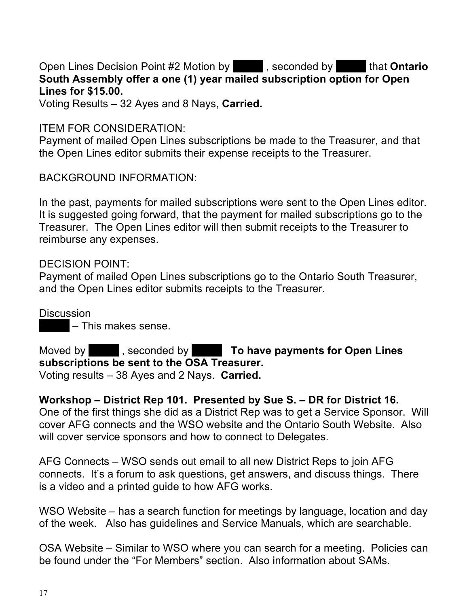Open Lines Decision Point #2 Motion by figure , seconded by final that **Ontario South Assembly offer a one (1) year mailed subscription option for Open Lines for \$15.00.** 

Voting Results – 32 Ayes and 8 Nays, **Carried.**

### ITEM FOR CONSIDERATION:

Payment of mailed Open Lines subscriptions be made to the Treasurer, and that the Open Lines editor submits their expense receipts to the Treasurer.

BACKGROUND INFORMATION:

In the past, payments for mailed subscriptions were sent to the Open Lines editor. It is suggested going forward, that the payment for mailed subscriptions go to the Treasurer. The Open Lines editor will then submit receipts to the Treasurer to reimburse any expenses.

### DECISION POINT:

Payment of mailed Open Lines subscriptions go to the Ontario South Treasurer, and the Open Lines editor submits receipts to the Treasurer.

**Discussion**  $\blacksquare$  – This makes sense.

Moved by **final , seconded by fight only To have payments for Open Lines subscriptions be sent to the OSA Treasurer.**  Voting results – 38 Ayes and 2 Nays. **Carried.**

**Workshop – District Rep 101. Presented by Sue S. – DR for District 16.** One of the first things she did as a District Rep was to get a Service Sponsor. Will cover AFG connects and the WSO website and the Ontario South Website. Also will cover service sponsors and how to connect to Delegates.

AFG Connects – WSO sends out email to all new District Reps to join AFG connects. It's a forum to ask questions, get answers, and discuss things. There is a video and a printed guide to how AFG works.

WSO Website – has a search function for meetings by language, location and day of the week. Also has guidelines and Service Manuals, which are searchable.

OSA Website – Similar to WSO where you can search for a meeting. Policies can be found under the "For Members" section. Also information about SAMs.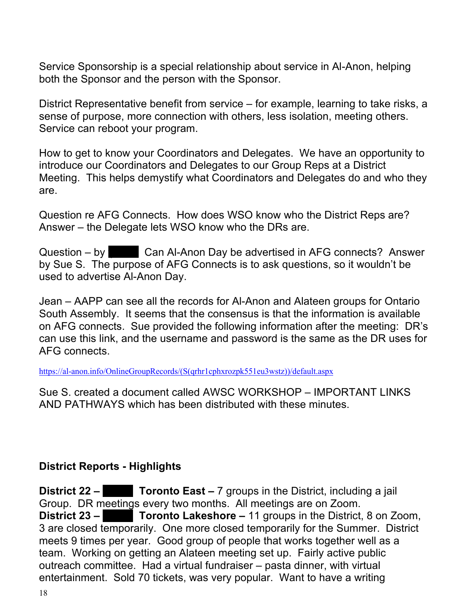Service Sponsorship is a special relationship about service in Al-Anon, helping both the Sponsor and the person with the Sponsor.

District Representative benefit from service – for example, learning to take risks, a sense of purpose, more connection with others, less isolation, meeting others. Service can reboot your program.

How to get to know your Coordinators and Delegates. We have an opportunity to introduce our Coordinators and Delegates to our Group Reps at a District Meeting. This helps demystify what Coordinators and Delegates do and who they are.

Question re AFG Connects. How does WSO know who the District Reps are? Answer – the Delegate lets WSO know who the DRs are.

Question – by **Figs. Can Al-Anon Day be advertised in AFG connects?** Answer by Sue S. The purpose of AFG Connects is to ask questions, so it wouldn't be used to advertise Al-Anon Day.

Jean – AAPP can see all the records for Al-Anon and Alateen groups for Ontario South Assembly. It seems that the consensus is that the information is available on AFG connects. Sue provided the following information after the meeting: DR's can use this link, and the username and password is the same as the DR uses for AFG connects.

https://al-anon.info/OnlineGroupRecords/(S(qrhr1cphxrozpk551eu3wstz))/default.aspx

Sue S. created a document called AWSC WORKSHOP – IMPORTANT LINKS AND PATHWAYS which has been distributed with these minutes.

### **District Reports - Highlights**

**District 22 – Foronto East –** 7 groups in the District, including a jail Group. DR meetings every two months. All meetings are on Zoom. **District 23 – Foronto Lakeshore –** 11 groups in the District, 8 on Zoom, 3 are closed temporarily. One more closed temporarily for the Summer. District meets 9 times per year. Good group of people that works together well as a team. Working on getting an Alateen meeting set up. Fairly active public outreach committee. Had a virtual fundraiser – pasta dinner, with virtual entertainment. Sold 70 tickets, was very popular. Want to have a writing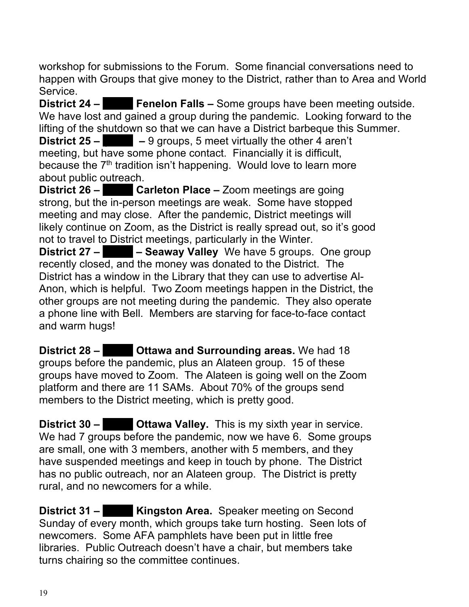workshop for submissions to the Forum. Some financial conversations need to happen with Groups that give money to the District, rather than to Area and World Service.

**District 24 – Fenelon Falls –** Some groups have been meeting outside. We have lost and gained a group during the pandemic. Looking forward to the lifting of the shutdown so that we can have a District barbeque this Summer. **District 25 – Fig. 2 = 9 groups, 5 meet virtually the other 4 aren't** meeting, but have some phone contact. Financially it is difficult, because the 7<sup>th</sup> tradition isn't happening. Would love to learn more about public outreach.

**District 26 – Figure Carleton Place –** Zoom meetings are going strong, but the in-person meetings are weak. Some have stopped meeting and may close. After the pandemic, District meetings will likely continue on Zoom, as the District is really spread out, so it's good not to travel to District meetings, particularly in the Winter. **District 27 – Fig. – Seaway Valley** We have 5 groups. One group recently closed, and the money was donated to the District. The District has a window in the Library that they can use to advertise Al-

Anon, which is helpful. Two Zoom meetings happen in the District, the other groups are not meeting during the pandemic. They also operate a phone line with Bell. Members are starving for face-to-face contact and warm hugs!

**District 28 – Citawa and Surrounding areas.** We had 18 groups before the pandemic, plus an Alateen group. 15 of these groups have moved to Zoom. The Alateen is going well on the Zoom platform and there are 11 SAMs. About 70% of the groups send members to the District meeting, which is pretty good.

**District 30 – Giveso Valley.** This is my sixth year in service. We had 7 groups before the pandemic, now we have 6. Some groups are small, one with 3 members, another with 5 members, and they have suspended meetings and keep in touch by phone. The District has no public outreach, nor an Alateen group. The District is pretty rural, and no newcomers for a while.

**District 31 – Figure Kingston Area.** Speaker meeting on Second Sunday of every month, which groups take turn hosting. Seen lots of newcomers. Some AFA pamphlets have been put in little free libraries. Public Outreach doesn't have a chair, but members take turns chairing so the committee continues.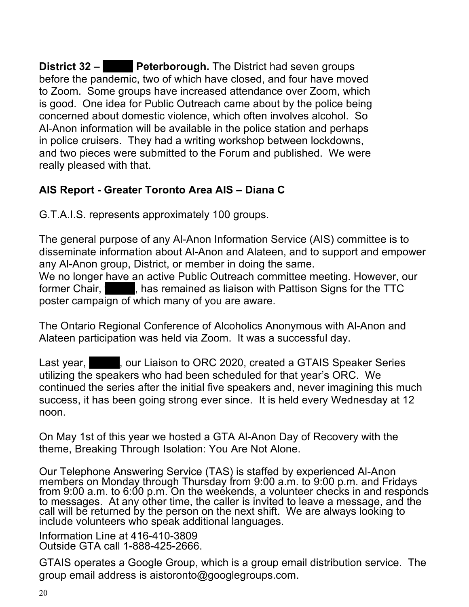**District 32 – Figure Peterborough.** The District had seven groups before the pandemic, two of which have closed, and four have moved to Zoom. Some groups have increased attendance over Zoom, which is good. One idea for Public Outreach came about by the police being concerned about domestic violence, which often involves alcohol. So Al-Anon information will be available in the police station and perhaps in police cruisers. They had a writing workshop between lockdowns, and two pieces were submitted to the Forum and published. We were really pleased with that.

# **AIS Report - Greater Toronto Area AIS – Diana C**

G.T.A.I.S. represents approximately 100 groups.

The general purpose of any Al-Anon Information Service (AIS) committee is to disseminate information about Al-Anon and Alateen, and to support and empower any Al-Anon group, District, or member in doing the same.

We no longer have an active Public Outreach committee meeting. However, our former Chair, **Fight**, has remained as liaison with Pattison Signs for the TTC poster campaign of which many of you are aware.

The Ontario Regional Conference of Alcoholics Anonymous with Al-Anon and Alateen participation was held via Zoom. It was a successful day.

Last year, fight our Liaison to ORC 2020, created a GTAIS Speaker Series utilizing the speakers who had been scheduled for that year's ORC. We continued the series after the initial five speakers and, never imagining this much success, it has been going strong ever since. It is held every Wednesday at 12 noon.

On May 1st of this year we hosted a GTA Al-Anon Day of Recovery with the theme, Breaking Through Isolation: You Are Not Alone.

Our Telephone Answering Service (TAS) is staffed by experienced Al-Anon members on Monday through Thursday from 9:00 a.m. to 9:00 p.m. and Fridays from 9:00 a.m. to 6:00 p.m. On the weekends, a volunteer checks in and responds to messages. At any other time, the caller is invited to leave a message, and the call will be returned by the person on the next shift. We are always looking to include volunteers who speak additional languages.

Information Line at 416-410-3809 Outside GTA call 1-888-425-2666.

GTAIS operates a Google Group, which is a group email distribution service. The group email address is aistoronto@googlegroups.com.